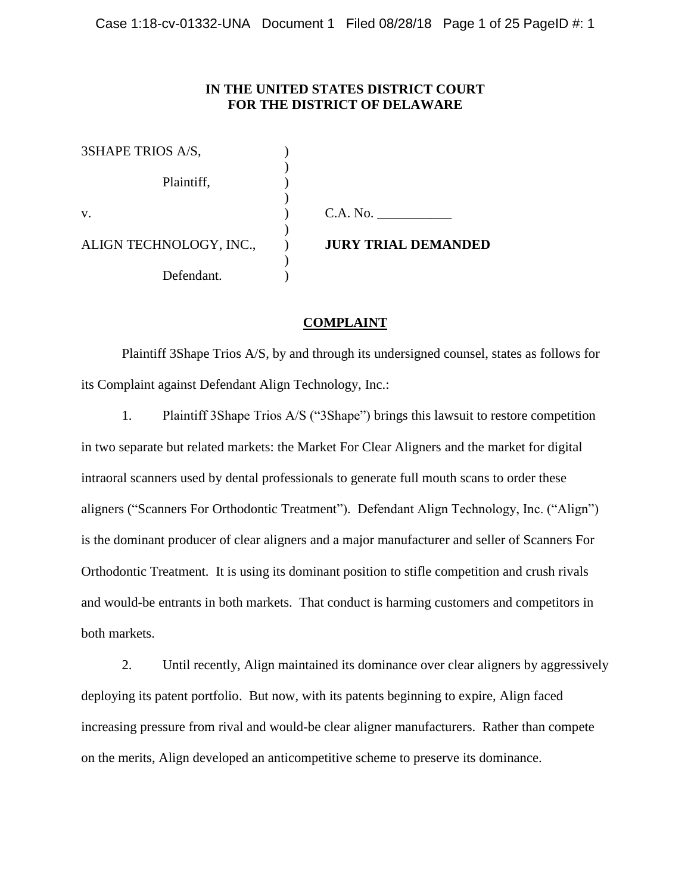## **IN THE UNITED STATES DISTRICT COURT FOR THE DISTRICT OF DELAWARE**

| 3SHAPE TRIOS A/S,       |                            |
|-------------------------|----------------------------|
| Plaintiff,              |                            |
| V.                      | C.A. No.                   |
| ALIGN TECHNOLOGY, INC., | <b>JURY TRIAL DEMANDED</b> |
| Defendant.              |                            |

## **COMPLAINT**

Plaintiff 3Shape Trios A/S, by and through its undersigned counsel, states as follows for its Complaint against Defendant Align Technology, Inc.:

1. Plaintiff 3Shape Trios A/S ("3Shape") brings this lawsuit to restore competition in two separate but related markets: the Market For Clear Aligners and the market for digital intraoral scanners used by dental professionals to generate full mouth scans to order these aligners ("Scanners For Orthodontic Treatment"). Defendant Align Technology, Inc. ("Align") is the dominant producer of clear aligners and a major manufacturer and seller of Scanners For Orthodontic Treatment. It is using its dominant position to stifle competition and crush rivals and would-be entrants in both markets. That conduct is harming customers and competitors in both markets.

2. Until recently, Align maintained its dominance over clear aligners by aggressively deploying its patent portfolio. But now, with its patents beginning to expire, Align faced increasing pressure from rival and would-be clear aligner manufacturers. Rather than compete on the merits, Align developed an anticompetitive scheme to preserve its dominance.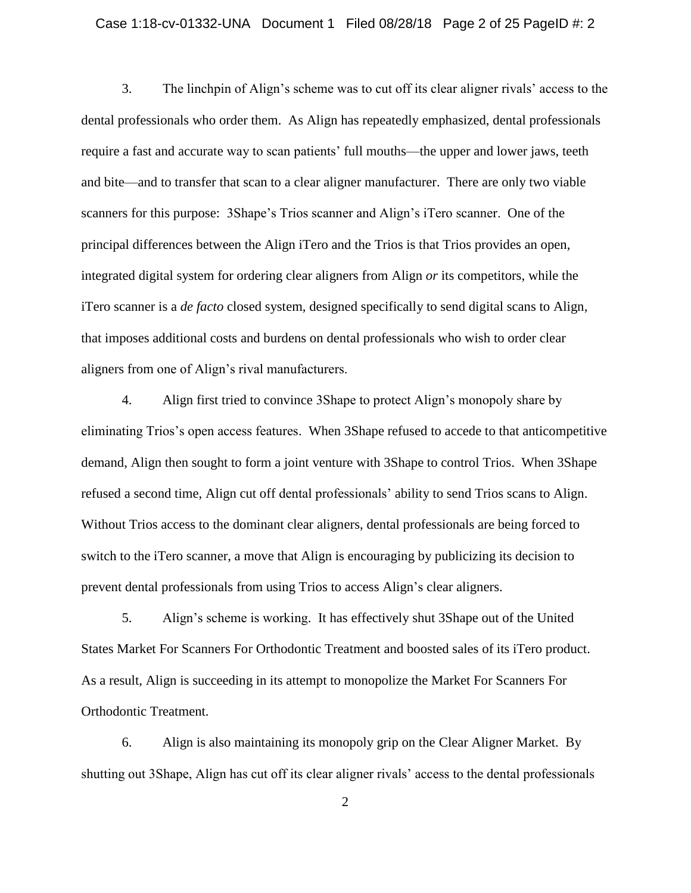## Case 1:18-cv-01332-UNA Document 1 Filed 08/28/18 Page 2 of 25 PageID #: 2

3. The linchpin of Align's scheme was to cut off its clear aligner rivals' access to the dental professionals who order them. As Align has repeatedly emphasized, dental professionals require a fast and accurate way to scan patients' full mouths—the upper and lower jaws, teeth and bite—and to transfer that scan to a clear aligner manufacturer. There are only two viable scanners for this purpose: 3Shape's Trios scanner and Align's iTero scanner. One of the principal differences between the Align iTero and the Trios is that Trios provides an open, integrated digital system for ordering clear aligners from Align *or* its competitors, while the iTero scanner is a *de facto* closed system, designed specifically to send digital scans to Align, that imposes additional costs and burdens on dental professionals who wish to order clear aligners from one of Align's rival manufacturers.

4. Align first tried to convince 3Shape to protect Align's monopoly share by eliminating Trios's open access features. When 3Shape refused to accede to that anticompetitive demand, Align then sought to form a joint venture with 3Shape to control Trios. When 3Shape refused a second time, Align cut off dental professionals' ability to send Trios scans to Align. Without Trios access to the dominant clear aligners, dental professionals are being forced to switch to the iTero scanner, a move that Align is encouraging by publicizing its decision to prevent dental professionals from using Trios to access Align's clear aligners.

5. Align's scheme is working. It has effectively shut 3Shape out of the United States Market For Scanners For Orthodontic Treatment and boosted sales of its iTero product. As a result, Align is succeeding in its attempt to monopolize the Market For Scanners For Orthodontic Treatment.

6. Align is also maintaining its monopoly grip on the Clear Aligner Market. By shutting out 3Shape, Align has cut off its clear aligner rivals' access to the dental professionals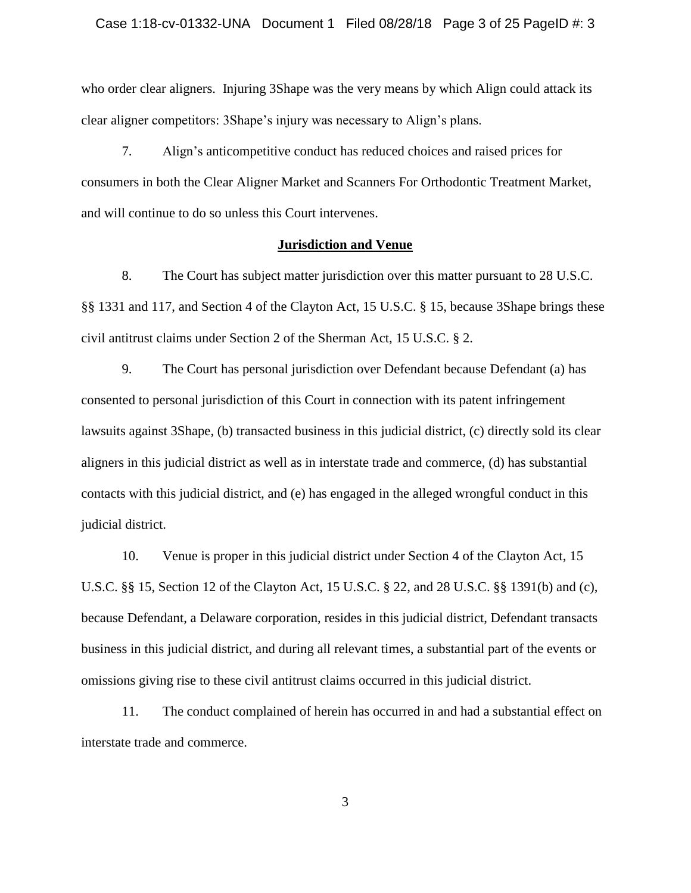## Case 1:18-cv-01332-UNA Document 1 Filed 08/28/18 Page 3 of 25 PageID #: 3

who order clear aligners. Injuring 3Shape was the very means by which Align could attack its clear aligner competitors: 3Shape's injury was necessary to Align's plans.

7. Align's anticompetitive conduct has reduced choices and raised prices for consumers in both the Clear Aligner Market and Scanners For Orthodontic Treatment Market, and will continue to do so unless this Court intervenes.

## **Jurisdiction and Venue**

8. The Court has subject matter jurisdiction over this matter pursuant to 28 U.S.C. §§ 1331 and 117, and Section 4 of the Clayton Act, 15 U.S.C. § 15, because 3Shape brings these civil antitrust claims under Section 2 of the Sherman Act, 15 U.S.C. § 2.

9. The Court has personal jurisdiction over Defendant because Defendant (a) has consented to personal jurisdiction of this Court in connection with its patent infringement lawsuits against 3Shape, (b) transacted business in this judicial district, (c) directly sold its clear aligners in this judicial district as well as in interstate trade and commerce, (d) has substantial contacts with this judicial district, and (e) has engaged in the alleged wrongful conduct in this judicial district.

10. Venue is proper in this judicial district under Section 4 of the Clayton Act, 15 U.S.C. §§ 15, Section 12 of the Clayton Act, 15 U.S.C. § 22, and 28 U.S.C. §§ 1391(b) and (c), because Defendant, a Delaware corporation, resides in this judicial district, Defendant transacts business in this judicial district, and during all relevant times, a substantial part of the events or omissions giving rise to these civil antitrust claims occurred in this judicial district.

11. The conduct complained of herein has occurred in and had a substantial effect on interstate trade and commerce.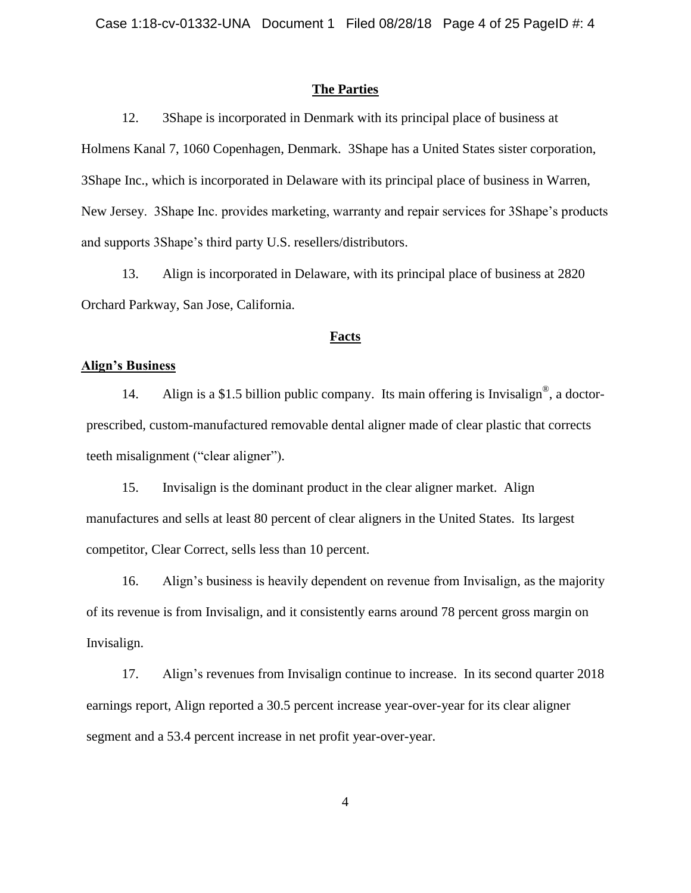## **The Parties**

12. 3Shape is incorporated in Denmark with its principal place of business at Holmens Kanal 7, 1060 Copenhagen, Denmark. 3Shape has a United States sister corporation, 3Shape Inc., which is incorporated in Delaware with its principal place of business in Warren, New Jersey. 3Shape Inc. provides marketing, warranty and repair services for 3Shape's products and supports 3Shape's third party U.S. resellers/distributors.

13. Align is incorporated in Delaware, with its principal place of business at 2820 Orchard Parkway, San Jose, California.

## **Facts**

## **Align's Business**

14. Align is a \$1.5 billion public company. Its main offering is Invisalign<sup>®</sup>, a doctorprescribed, custom-manufactured removable dental aligner made of clear plastic that corrects teeth misalignment ("clear aligner").

15. Invisalign is the dominant product in the clear aligner market. Align manufactures and sells at least 80 percent of clear aligners in the United States. Its largest competitor, Clear Correct, sells less than 10 percent.

16. Align's business is heavily dependent on revenue from Invisalign, as the majority of its revenue is from Invisalign, and it consistently earns around 78 percent gross margin on Invisalign.

17. Align's revenues from Invisalign continue to increase. In its second quarter 2018 earnings report, Align reported a 30.5 percent increase year-over-year for its clear aligner segment and a 53.4 percent increase in net profit year-over-year.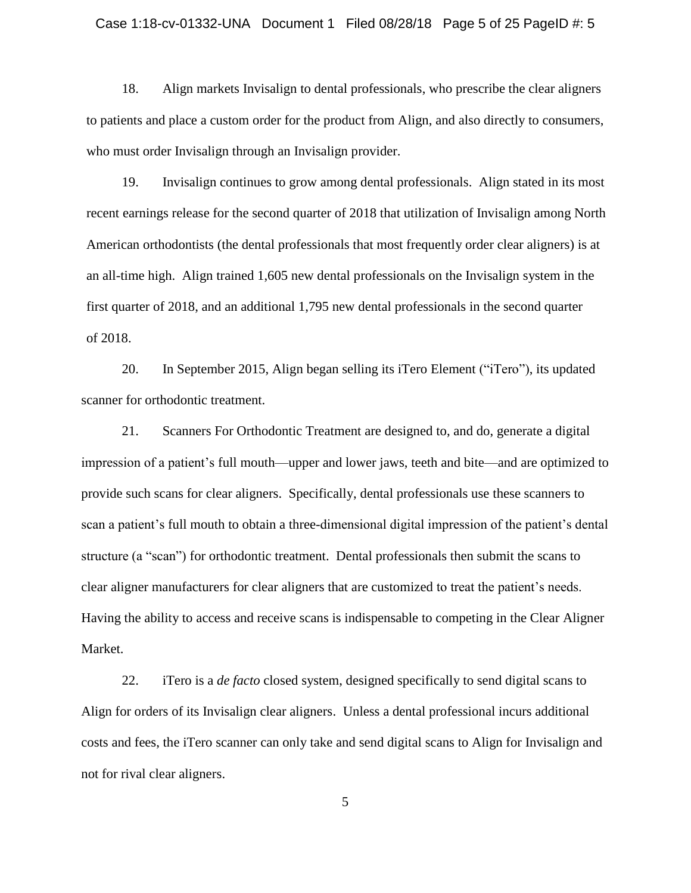## Case 1:18-cv-01332-UNA Document 1 Filed 08/28/18 Page 5 of 25 PageID #: 5

18. Align markets Invisalign to dental professionals, who prescribe the clear aligners to patients and place a custom order for the product from Align, and also directly to consumers, who must order Invisalign through an Invisalign provider.

19. Invisalign continues to grow among dental professionals. Align stated in its most recent earnings release for the second quarter of 2018 that utilization of Invisalign among North American orthodontists (the dental professionals that most frequently order clear aligners) is at an all-time high. Align trained 1,605 new dental professionals on the Invisalign system in the first quarter of 2018, and an additional 1,795 new dental professionals in the second quarter of 2018.

20. In September 2015, Align began selling its iTero Element ("iTero"), its updated scanner for orthodontic treatment.

21. Scanners For Orthodontic Treatment are designed to, and do, generate a digital impression of a patient's full mouth—upper and lower jaws, teeth and bite—and are optimized to provide such scans for clear aligners. Specifically, dental professionals use these scanners to scan a patient's full mouth to obtain a three-dimensional digital impression of the patient's dental structure (a "scan") for orthodontic treatment. Dental professionals then submit the scans to clear aligner manufacturers for clear aligners that are customized to treat the patient's needs. Having the ability to access and receive scans is indispensable to competing in the Clear Aligner Market.

22. iTero is a *de facto* closed system, designed specifically to send digital scans to Align for orders of its Invisalign clear aligners. Unless a dental professional incurs additional costs and fees, the iTero scanner can only take and send digital scans to Align for Invisalign and not for rival clear aligners.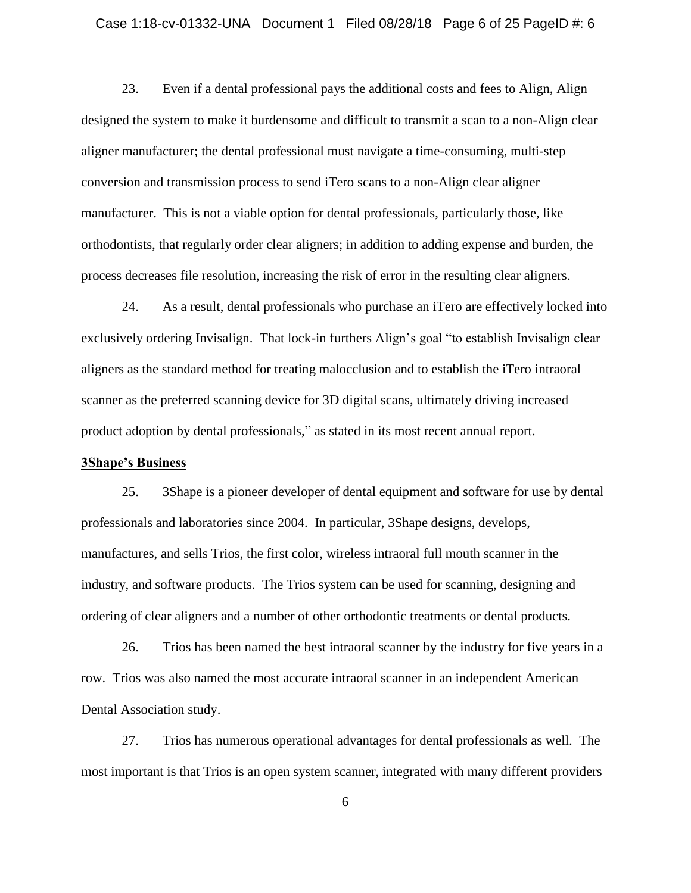## Case 1:18-cv-01332-UNA Document 1 Filed 08/28/18 Page 6 of 25 PageID #: 6

23. Even if a dental professional pays the additional costs and fees to Align, Align designed the system to make it burdensome and difficult to transmit a scan to a non-Align clear aligner manufacturer; the dental professional must navigate a time-consuming, multi-step conversion and transmission process to send iTero scans to a non-Align clear aligner manufacturer. This is not a viable option for dental professionals, particularly those, like orthodontists, that regularly order clear aligners; in addition to adding expense and burden, the process decreases file resolution, increasing the risk of error in the resulting clear aligners.

24. As a result, dental professionals who purchase an iTero are effectively locked into exclusively ordering Invisalign. That lock-in furthers Align's goal "to establish Invisalign clear aligners as the standard method for treating malocclusion and to establish the iTero intraoral scanner as the preferred scanning device for 3D digital scans, ultimately driving increased product adoption by dental professionals," as stated in its most recent annual report.

## **3Shape's Business**

25. 3Shape is a pioneer developer of dental equipment and software for use by dental professionals and laboratories since 2004. In particular, 3Shape designs, develops, manufactures, and sells Trios, the first color, wireless intraoral full mouth scanner in the industry, and software products. The Trios system can be used for scanning, designing and ordering of clear aligners and a number of other orthodontic treatments or dental products.

26. Trios has been named the best intraoral scanner by the industry for five years in a row. Trios was also named the most accurate intraoral scanner in an independent American Dental Association study.

27. Trios has numerous operational advantages for dental professionals as well. The most important is that Trios is an open system scanner, integrated with many different providers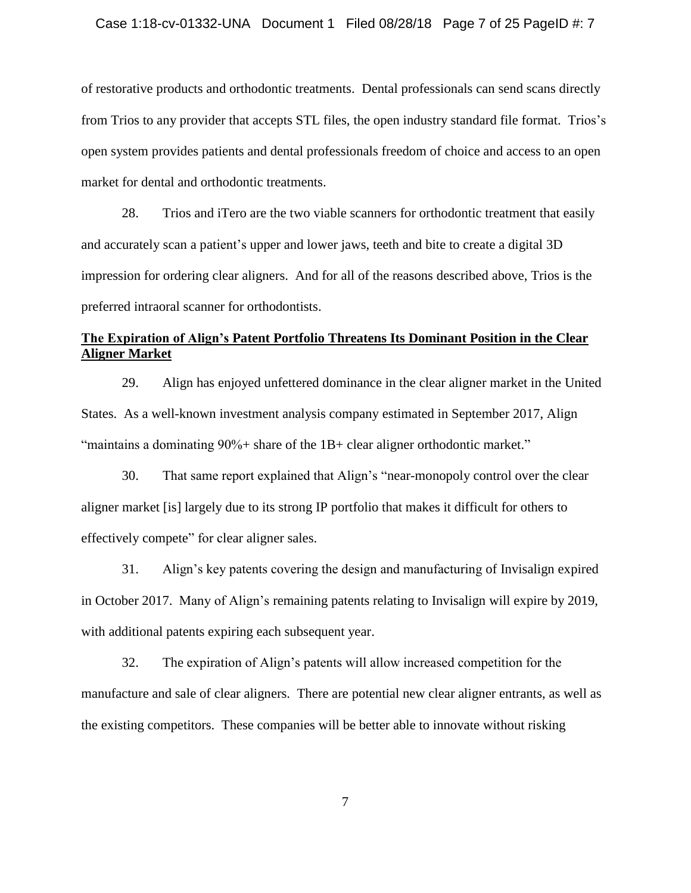## Case 1:18-cv-01332-UNA Document 1 Filed 08/28/18 Page 7 of 25 PageID #: 7

of restorative products and orthodontic treatments. Dental professionals can send scans directly from Trios to any provider that accepts STL files, the open industry standard file format. Trios's open system provides patients and dental professionals freedom of choice and access to an open market for dental and orthodontic treatments.

28. Trios and iTero are the two viable scanners for orthodontic treatment that easily and accurately scan a patient's upper and lower jaws, teeth and bite to create a digital 3D impression for ordering clear aligners. And for all of the reasons described above, Trios is the preferred intraoral scanner for orthodontists.

# **The Expiration of Align's Patent Portfolio Threatens Its Dominant Position in the Clear Aligner Market**

29. Align has enjoyed unfettered dominance in the clear aligner market in the United States. As a well-known investment analysis company estimated in September 2017, Align "maintains a dominating 90%+ share of the 1B+ clear aligner orthodontic market."

30. That same report explained that Align's "near-monopoly control over the clear aligner market [is] largely due to its strong IP portfolio that makes it difficult for others to effectively compete" for clear aligner sales.

31. Align's key patents covering the design and manufacturing of Invisalign expired in October 2017. Many of Align's remaining patents relating to Invisalign will expire by 2019, with additional patents expiring each subsequent year.

32. The expiration of Align's patents will allow increased competition for the manufacture and sale of clear aligners. There are potential new clear aligner entrants, as well as the existing competitors. These companies will be better able to innovate without risking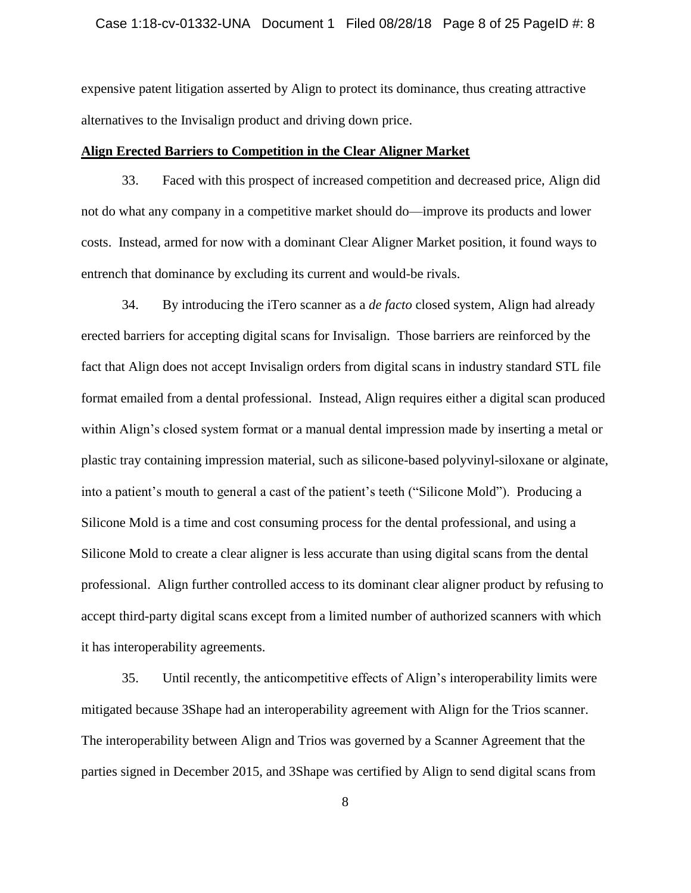## Case 1:18-cv-01332-UNA Document 1 Filed 08/28/18 Page 8 of 25 PageID #: 8

expensive patent litigation asserted by Align to protect its dominance, thus creating attractive alternatives to the Invisalign product and driving down price.

## **Align Erected Barriers to Competition in the Clear Aligner Market**

33. Faced with this prospect of increased competition and decreased price, Align did not do what any company in a competitive market should do—improve its products and lower costs. Instead, armed for now with a dominant Clear Aligner Market position, it found ways to entrench that dominance by excluding its current and would-be rivals.

34. By introducing the iTero scanner as a *de facto* closed system, Align had already erected barriers for accepting digital scans for Invisalign. Those barriers are reinforced by the fact that Align does not accept Invisalign orders from digital scans in industry standard STL file format emailed from a dental professional. Instead, Align requires either a digital scan produced within Align's closed system format or a manual dental impression made by inserting a metal or plastic tray containing impression material, such as silicone-based polyvinyl-siloxane or alginate, into a patient's mouth to general a cast of the patient's teeth ("Silicone Mold"). Producing a Silicone Mold is a time and cost consuming process for the dental professional, and using a Silicone Mold to create a clear aligner is less accurate than using digital scans from the dental professional. Align further controlled access to its dominant clear aligner product by refusing to accept third-party digital scans except from a limited number of authorized scanners with which it has interoperability agreements.

35. Until recently, the anticompetitive effects of Align's interoperability limits were mitigated because 3Shape had an interoperability agreement with Align for the Trios scanner. The interoperability between Align and Trios was governed by a Scanner Agreement that the parties signed in December 2015, and 3Shape was certified by Align to send digital scans from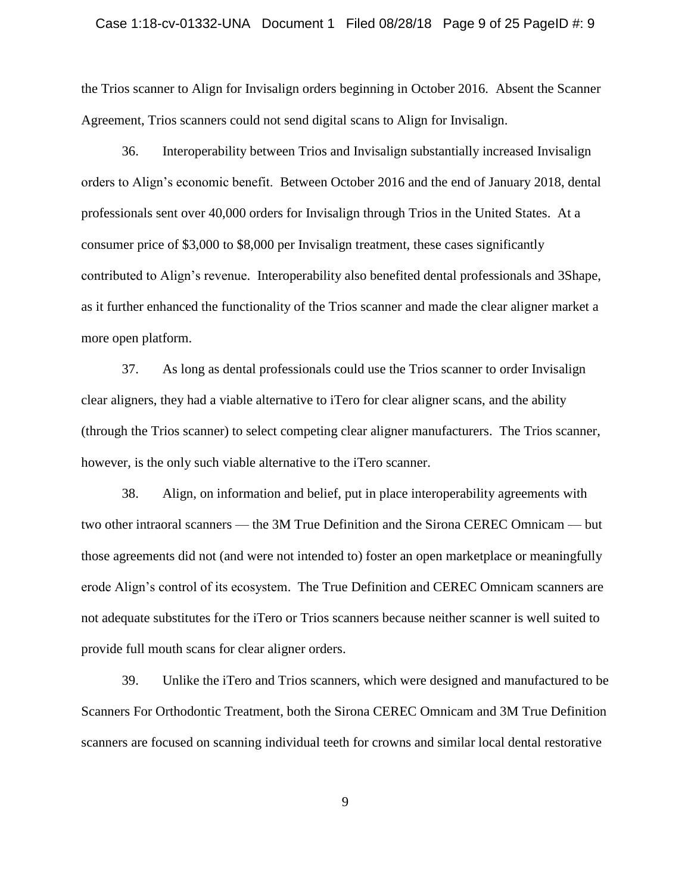## Case 1:18-cv-01332-UNA Document 1 Filed 08/28/18 Page 9 of 25 PageID #: 9

the Trios scanner to Align for Invisalign orders beginning in October 2016. Absent the Scanner Agreement, Trios scanners could not send digital scans to Align for Invisalign.

36. Interoperability between Trios and Invisalign substantially increased Invisalign orders to Align's economic benefit. Between October 2016 and the end of January 2018, dental professionals sent over 40,000 orders for Invisalign through Trios in the United States. At a consumer price of \$3,000 to \$8,000 per Invisalign treatment, these cases significantly contributed to Align's revenue. Interoperability also benefited dental professionals and 3Shape, as it further enhanced the functionality of the Trios scanner and made the clear aligner market a more open platform.

37. As long as dental professionals could use the Trios scanner to order Invisalign clear aligners, they had a viable alternative to iTero for clear aligner scans, and the ability (through the Trios scanner) to select competing clear aligner manufacturers. The Trios scanner, however, is the only such viable alternative to the iTero scanner.

38. Align, on information and belief, put in place interoperability agreements with two other intraoral scanners — the 3M True Definition and the Sirona CEREC Omnicam — but those agreements did not (and were not intended to) foster an open marketplace or meaningfully erode Align's control of its ecosystem. The True Definition and CEREC Omnicam scanners are not adequate substitutes for the iTero or Trios scanners because neither scanner is well suited to provide full mouth scans for clear aligner orders.

39. Unlike the iTero and Trios scanners, which were designed and manufactured to be Scanners For Orthodontic Treatment, both the Sirona CEREC Omnicam and 3M True Definition scanners are focused on scanning individual teeth for crowns and similar local dental restorative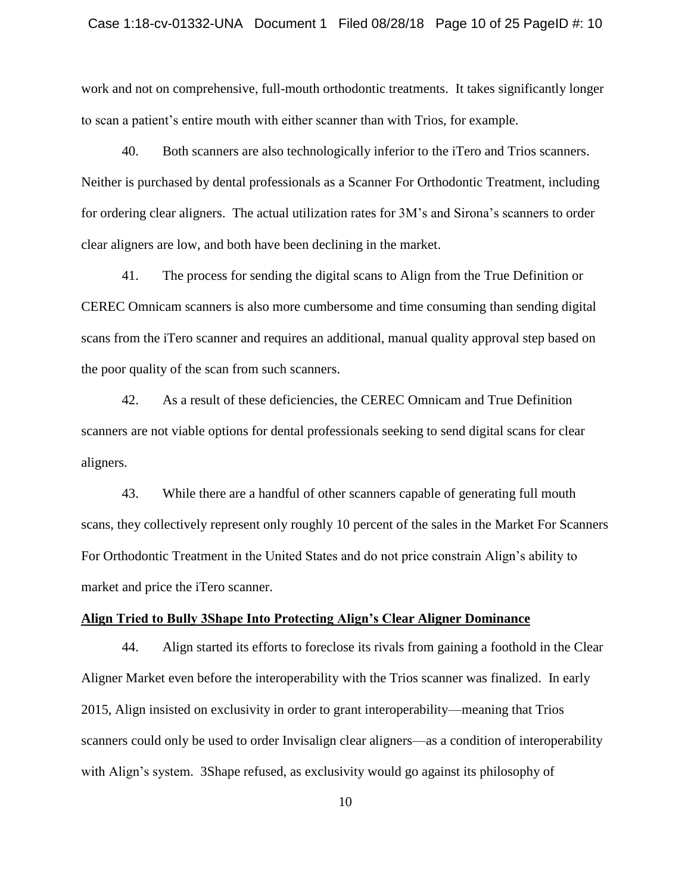## Case 1:18-cv-01332-UNA Document 1 Filed 08/28/18 Page 10 of 25 PageID #: 10

work and not on comprehensive, full-mouth orthodontic treatments. It takes significantly longer to scan a patient's entire mouth with either scanner than with Trios, for example.

40. Both scanners are also technologically inferior to the iTero and Trios scanners. Neither is purchased by dental professionals as a Scanner For Orthodontic Treatment, including for ordering clear aligners. The actual utilization rates for 3M's and Sirona's scanners to order clear aligners are low, and both have been declining in the market.

41. The process for sending the digital scans to Align from the True Definition or CEREC Omnicam scanners is also more cumbersome and time consuming than sending digital scans from the iTero scanner and requires an additional, manual quality approval step based on the poor quality of the scan from such scanners.

42. As a result of these deficiencies, the CEREC Omnicam and True Definition scanners are not viable options for dental professionals seeking to send digital scans for clear aligners.

43. While there are a handful of other scanners capable of generating full mouth scans, they collectively represent only roughly 10 percent of the sales in the Market For Scanners For Orthodontic Treatment in the United States and do not price constrain Align's ability to market and price the iTero scanner.

## **Align Tried to Bully 3Shape Into Protecting Align's Clear Aligner Dominance**

44. Align started its efforts to foreclose its rivals from gaining a foothold in the Clear Aligner Market even before the interoperability with the Trios scanner was finalized. In early 2015, Align insisted on exclusivity in order to grant interoperability—meaning that Trios scanners could only be used to order Invisalign clear aligners—as a condition of interoperability with Align's system. 3Shape refused, as exclusivity would go against its philosophy of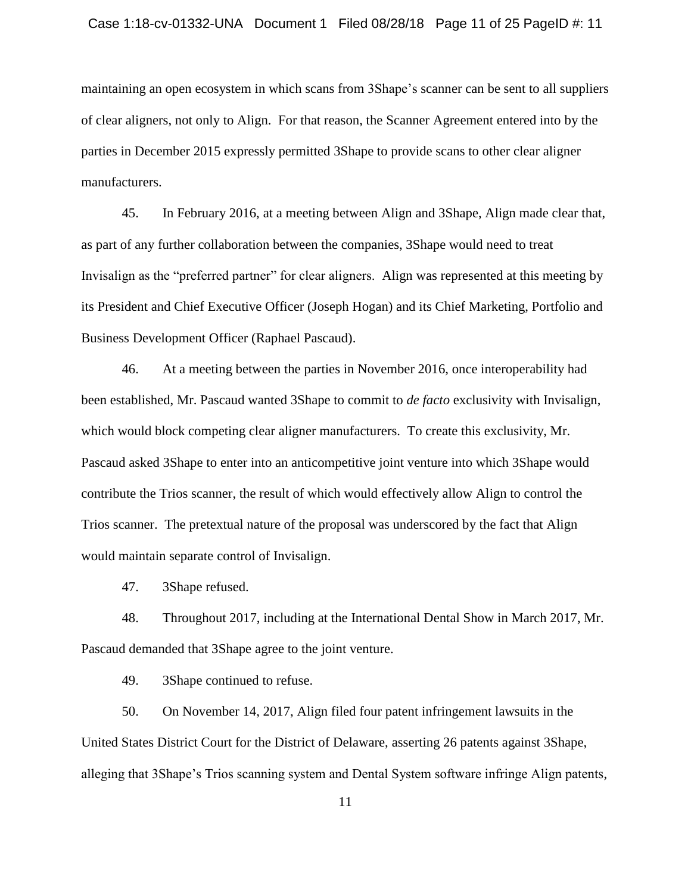## Case 1:18-cv-01332-UNA Document 1 Filed 08/28/18 Page 11 of 25 PageID #: 11

maintaining an open ecosystem in which scans from 3Shape's scanner can be sent to all suppliers of clear aligners, not only to Align. For that reason, the Scanner Agreement entered into by the parties in December 2015 expressly permitted 3Shape to provide scans to other clear aligner manufacturers.

45. In February 2016, at a meeting between Align and 3Shape, Align made clear that, as part of any further collaboration between the companies, 3Shape would need to treat Invisalign as the "preferred partner" for clear aligners. Align was represented at this meeting by its President and Chief Executive Officer (Joseph Hogan) and its Chief Marketing, Portfolio and Business Development Officer (Raphael Pascaud).

46. At a meeting between the parties in November 2016, once interoperability had been established, Mr. Pascaud wanted 3Shape to commit to *de facto* exclusivity with Invisalign, which would block competing clear aligner manufacturers. To create this exclusivity, Mr. Pascaud asked 3Shape to enter into an anticompetitive joint venture into which 3Shape would contribute the Trios scanner, the result of which would effectively allow Align to control the Trios scanner. The pretextual nature of the proposal was underscored by the fact that Align would maintain separate control of Invisalign.

47. 3Shape refused.

48. Throughout 2017, including at the International Dental Show in March 2017, Mr. Pascaud demanded that 3Shape agree to the joint venture.

49. 3Shape continued to refuse.

50. On November 14, 2017, Align filed four patent infringement lawsuits in the United States District Court for the District of Delaware, asserting 26 patents against 3Shape, alleging that 3Shape's Trios scanning system and Dental System software infringe Align patents,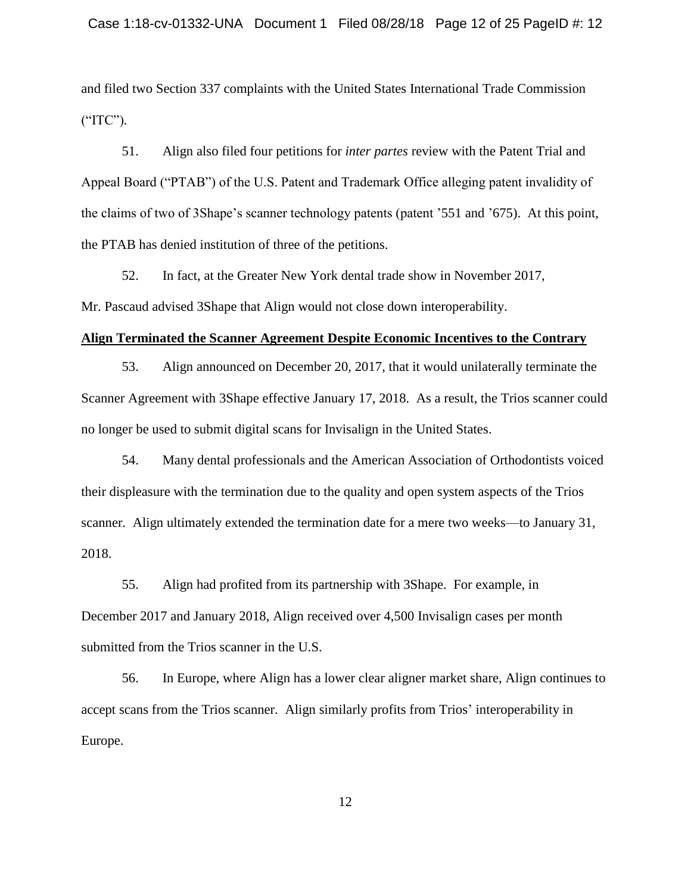and filed two Section 337 complaints with the United States International Trade Commission ("ITC").

51. Align also filed four petitions for *inter partes* review with the Patent Trial and Appeal Board ("PTAB") of the U.S. Patent and Trademark Office alleging patent invalidity of the claims of two of 3Shape's scanner technology patents (patent '551 and '675). At this point, the PTAB has denied institution of three of the petitions.

52. In fact, at the Greater New York dental trade show in November 2017, Mr. Pascaud advised 3Shape that Align would not close down interoperability.

#### **Align Terminated the Scanner Agreement Despite Economic Incentives to the Contrary**

53. Align announced on December 20, 2017, that it would unilaterally terminate the Scanner Agreement with 3Shape effective January 17, 2018. As a result, the Trios scanner could no longer be used to submit digital scans for Invisalign in the United States.

54. Many dental professionals and the American Association of Orthodontists voiced their displeasure with the termination due to the quality and open system aspects of the Trios scanner. Align ultimately extended the termination date for a mere two weeks—to January 31, 2018.

55. Align had profited from its partnership with 3Shape. For example, in December 2017 and January 2018, Align received over 4,500 Invisalign cases per month submitted from the Trios scanner in the U.S.

56. In Europe, where Align has a lower clear aligner market share, Align continues to accept scans from the Trios scanner. Align similarly profits from Trios' interoperability in Europe.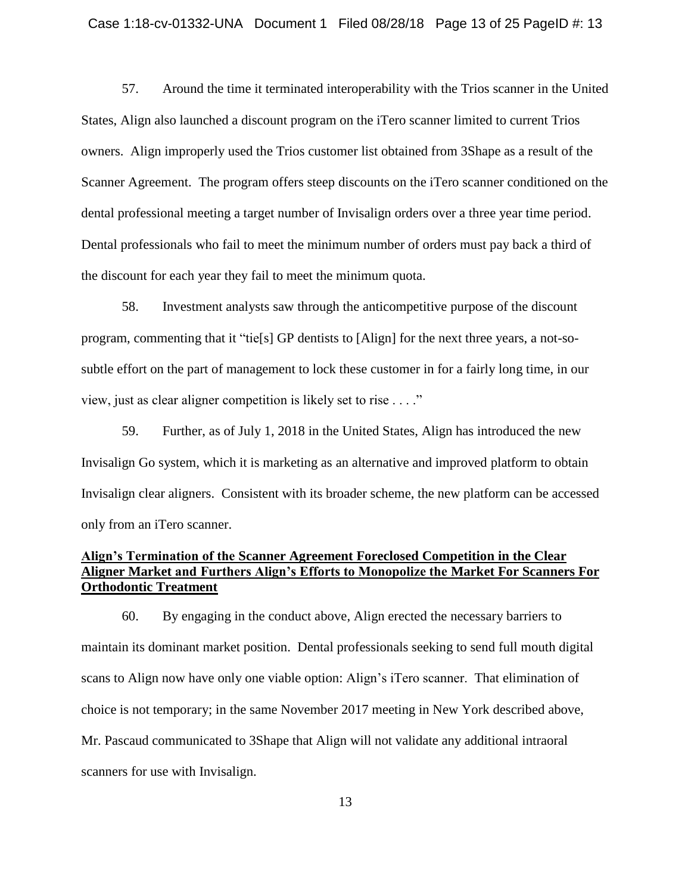## Case 1:18-cv-01332-UNA Document 1 Filed 08/28/18 Page 13 of 25 PageID #: 13

57. Around the time it terminated interoperability with the Trios scanner in the United States, Align also launched a discount program on the iTero scanner limited to current Trios owners. Align improperly used the Trios customer list obtained from 3Shape as a result of the Scanner Agreement. The program offers steep discounts on the iTero scanner conditioned on the dental professional meeting a target number of Invisalign orders over a three year time period. Dental professionals who fail to meet the minimum number of orders must pay back a third of the discount for each year they fail to meet the minimum quota.

58. Investment analysts saw through the anticompetitive purpose of the discount program, commenting that it "tie[s] GP dentists to [Align] for the next three years, a not-sosubtle effort on the part of management to lock these customer in for a fairly long time, in our view, just as clear aligner competition is likely set to rise . . . ."

59. Further, as of July 1, 2018 in the United States, Align has introduced the new Invisalign Go system, which it is marketing as an alternative and improved platform to obtain Invisalign clear aligners. Consistent with its broader scheme, the new platform can be accessed only from an iTero scanner.

## **Align's Termination of the Scanner Agreement Foreclosed Competition in the Clear Aligner Market and Furthers Align's Efforts to Monopolize the Market For Scanners For Orthodontic Treatment**

60. By engaging in the conduct above, Align erected the necessary barriers to maintain its dominant market position. Dental professionals seeking to send full mouth digital scans to Align now have only one viable option: Align's iTero scanner. That elimination of choice is not temporary; in the same November 2017 meeting in New York described above, Mr. Pascaud communicated to 3Shape that Align will not validate any additional intraoral scanners for use with Invisalign.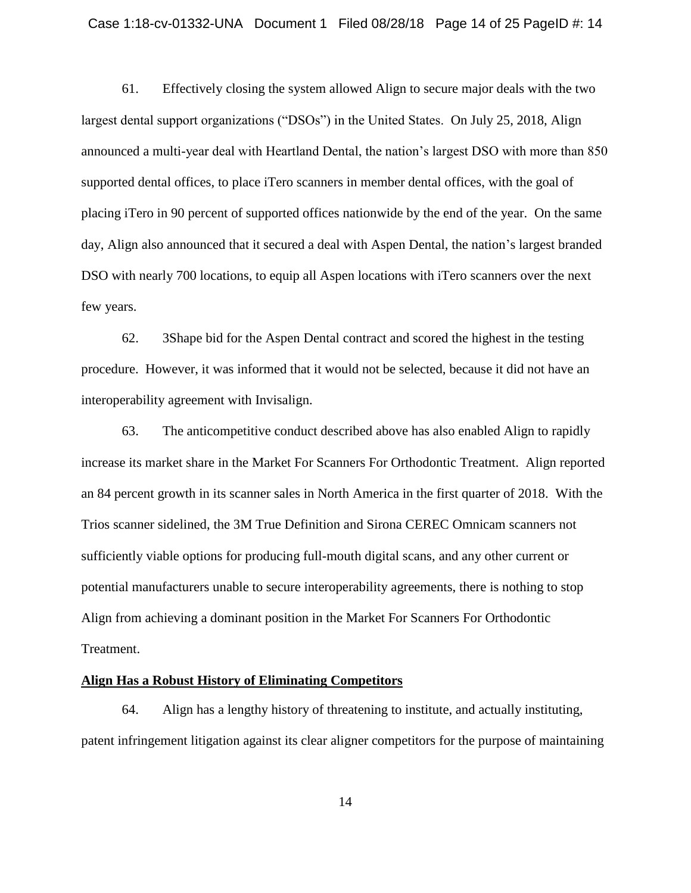## Case 1:18-cv-01332-UNA Document 1 Filed 08/28/18 Page 14 of 25 PageID #: 14

61. Effectively closing the system allowed Align to secure major deals with the two largest dental support organizations ("DSOs") in the United States. On July 25, 2018, Align announced a multi-year deal with Heartland Dental, the nation's largest DSO with more than 850 supported dental offices, to place iTero scanners in member dental offices, with the goal of placing iTero in 90 percent of supported offices nationwide by the end of the year. On the same day, Align also announced that it secured a deal with Aspen Dental, the nation's largest branded DSO with nearly 700 locations, to equip all Aspen locations with iTero scanners over the next few years.

62. 3Shape bid for the Aspen Dental contract and scored the highest in the testing procedure. However, it was informed that it would not be selected, because it did not have an interoperability agreement with Invisalign.

63. The anticompetitive conduct described above has also enabled Align to rapidly increase its market share in the Market For Scanners For Orthodontic Treatment. Align reported an 84 percent growth in its scanner sales in North America in the first quarter of 2018. With the Trios scanner sidelined, the 3M True Definition and Sirona CEREC Omnicam scanners not sufficiently viable options for producing full-mouth digital scans, and any other current or potential manufacturers unable to secure interoperability agreements, there is nothing to stop Align from achieving a dominant position in the Market For Scanners For Orthodontic Treatment.

## **Align Has a Robust History of Eliminating Competitors**

64. Align has a lengthy history of threatening to institute, and actually instituting, patent infringement litigation against its clear aligner competitors for the purpose of maintaining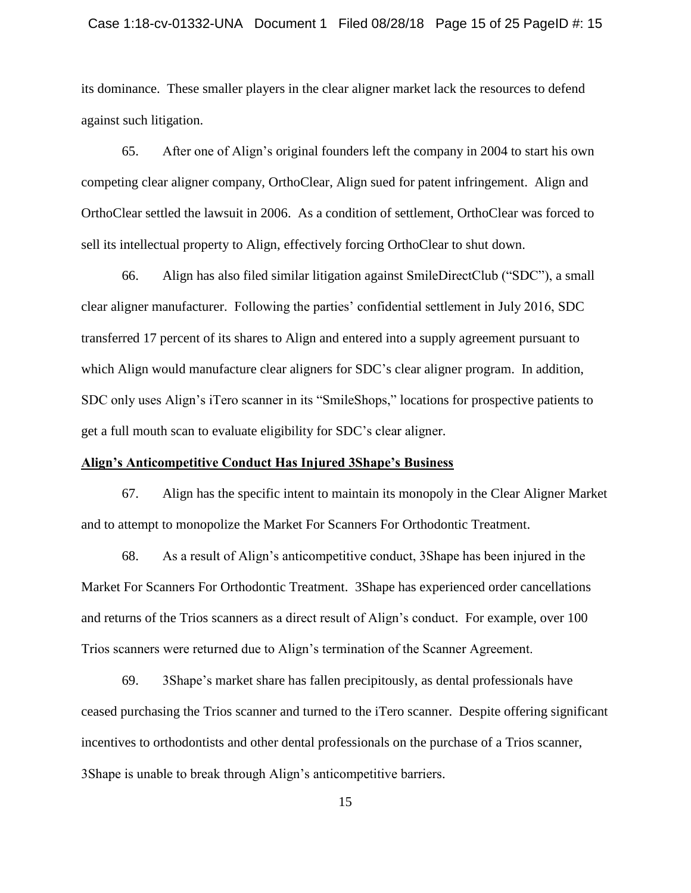## Case 1:18-cv-01332-UNA Document 1 Filed 08/28/18 Page 15 of 25 PageID #: 15

its dominance. These smaller players in the clear aligner market lack the resources to defend against such litigation.

65. After one of Align's original founders left the company in 2004 to start his own competing clear aligner company, OrthoClear, Align sued for patent infringement. Align and OrthoClear settled the lawsuit in 2006. As a condition of settlement, OrthoClear was forced to sell its intellectual property to Align, effectively forcing OrthoClear to shut down.

66. Align has also filed similar litigation against SmileDirectClub ("SDC"), a small clear aligner manufacturer. Following the parties' confidential settlement in July 2016, SDC transferred 17 percent of its shares to Align and entered into a supply agreement pursuant to which Align would manufacture clear aligners for SDC's clear aligner program. In addition, SDC only uses Align's iTero scanner in its "SmileShops," locations for prospective patients to get a full mouth scan to evaluate eligibility for SDC's clear aligner.

## **Align's Anticompetitive Conduct Has Injured 3Shape's Business**

67. Align has the specific intent to maintain its monopoly in the Clear Aligner Market and to attempt to monopolize the Market For Scanners For Orthodontic Treatment.

68. As a result of Align's anticompetitive conduct, 3Shape has been injured in the Market For Scanners For Orthodontic Treatment. 3Shape has experienced order cancellations and returns of the Trios scanners as a direct result of Align's conduct. For example, over 100 Trios scanners were returned due to Align's termination of the Scanner Agreement.

69. 3Shape's market share has fallen precipitously, as dental professionals have ceased purchasing the Trios scanner and turned to the iTero scanner. Despite offering significant incentives to orthodontists and other dental professionals on the purchase of a Trios scanner, 3Shape is unable to break through Align's anticompetitive barriers.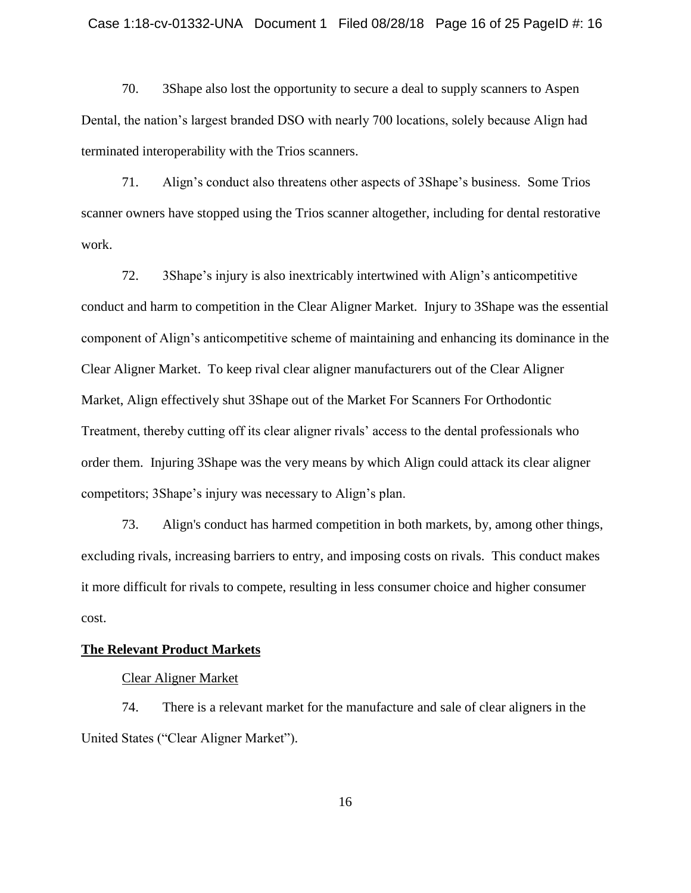70. 3Shape also lost the opportunity to secure a deal to supply scanners to Aspen Dental, the nation's largest branded DSO with nearly 700 locations, solely because Align had terminated interoperability with the Trios scanners.

71. Align's conduct also threatens other aspects of 3Shape's business. Some Trios scanner owners have stopped using the Trios scanner altogether, including for dental restorative work.

72. 3Shape's injury is also inextricably intertwined with Align's anticompetitive conduct and harm to competition in the Clear Aligner Market. Injury to 3Shape was the essential component of Align's anticompetitive scheme of maintaining and enhancing its dominance in the Clear Aligner Market. To keep rival clear aligner manufacturers out of the Clear Aligner Market, Align effectively shut 3Shape out of the Market For Scanners For Orthodontic Treatment, thereby cutting off its clear aligner rivals' access to the dental professionals who order them. Injuring 3Shape was the very means by which Align could attack its clear aligner competitors; 3Shape's injury was necessary to Align's plan.

73. Align's conduct has harmed competition in both markets, by, among other things, excluding rivals, increasing barriers to entry, and imposing costs on rivals. This conduct makes it more difficult for rivals to compete, resulting in less consumer choice and higher consumer cost.

## **The Relevant Product Markets**

## Clear Aligner Market

74. There is a relevant market for the manufacture and sale of clear aligners in the United States ("Clear Aligner Market").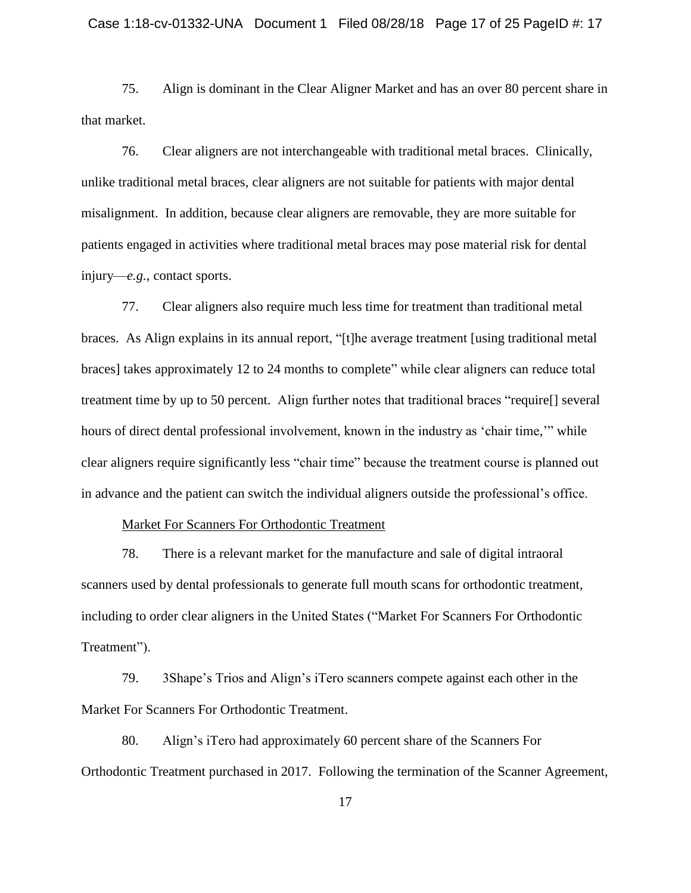75. Align is dominant in the Clear Aligner Market and has an over 80 percent share in that market.

76. Clear aligners are not interchangeable with traditional metal braces. Clinically, unlike traditional metal braces, clear aligners are not suitable for patients with major dental misalignment. In addition, because clear aligners are removable, they are more suitable for patients engaged in activities where traditional metal braces may pose material risk for dental injury—*e.g.*, contact sports.

77. Clear aligners also require much less time for treatment than traditional metal braces. As Align explains in its annual report, "[t]he average treatment [using traditional metal braces] takes approximately 12 to 24 months to complete" while clear aligners can reduce total treatment time by up to 50 percent. Align further notes that traditional braces "require[] several hours of direct dental professional involvement, known in the industry as 'chair time,'" while clear aligners require significantly less "chair time" because the treatment course is planned out in advance and the patient can switch the individual aligners outside the professional's office.

## Market For Scanners For Orthodontic Treatment

78. There is a relevant market for the manufacture and sale of digital intraoral scanners used by dental professionals to generate full mouth scans for orthodontic treatment, including to order clear aligners in the United States ("Market For Scanners For Orthodontic Treatment").

79. 3Shape's Trios and Align's iTero scanners compete against each other in the Market For Scanners For Orthodontic Treatment.

80. Align's iTero had approximately 60 percent share of the Scanners For Orthodontic Treatment purchased in 2017. Following the termination of the Scanner Agreement,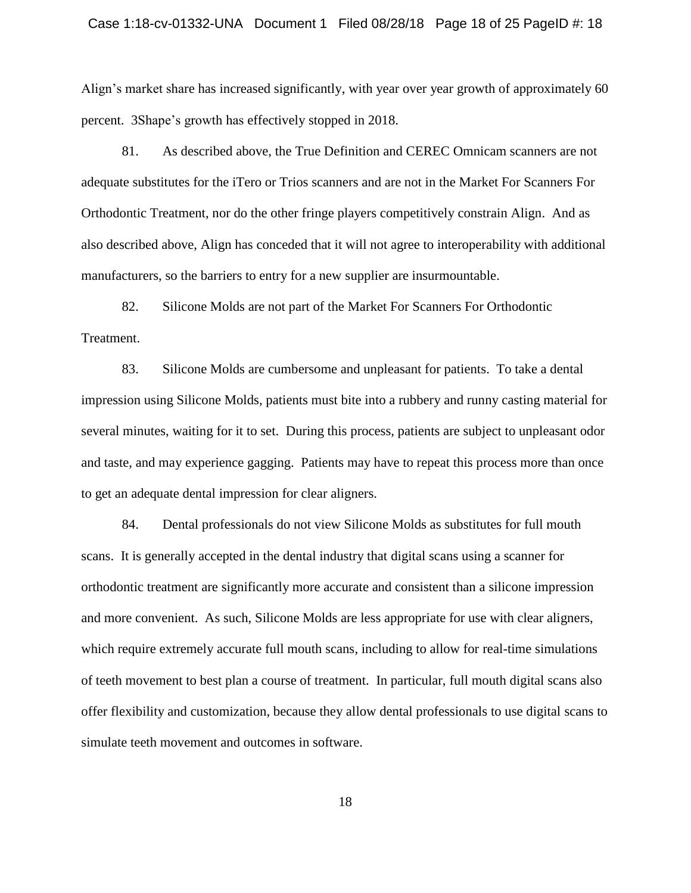## Case 1:18-cv-01332-UNA Document 1 Filed 08/28/18 Page 18 of 25 PageID #: 18

Align's market share has increased significantly, with year over year growth of approximately 60 percent. 3Shape's growth has effectively stopped in 2018.

81. As described above, the True Definition and CEREC Omnicam scanners are not adequate substitutes for the iTero or Trios scanners and are not in the Market For Scanners For Orthodontic Treatment, nor do the other fringe players competitively constrain Align. And as also described above, Align has conceded that it will not agree to interoperability with additional manufacturers, so the barriers to entry for a new supplier are insurmountable.

82. Silicone Molds are not part of the Market For Scanners For Orthodontic Treatment.

83. Silicone Molds are cumbersome and unpleasant for patients. To take a dental impression using Silicone Molds, patients must bite into a rubbery and runny casting material for several minutes, waiting for it to set. During this process, patients are subject to unpleasant odor and taste, and may experience gagging. Patients may have to repeat this process more than once to get an adequate dental impression for clear aligners.

84. Dental professionals do not view Silicone Molds as substitutes for full mouth scans. It is generally accepted in the dental industry that digital scans using a scanner for orthodontic treatment are significantly more accurate and consistent than a silicone impression and more convenient. As such, Silicone Molds are less appropriate for use with clear aligners, which require extremely accurate full mouth scans, including to allow for real-time simulations of teeth movement to best plan a course of treatment. In particular, full mouth digital scans also offer flexibility and customization, because they allow dental professionals to use digital scans to simulate teeth movement and outcomes in software.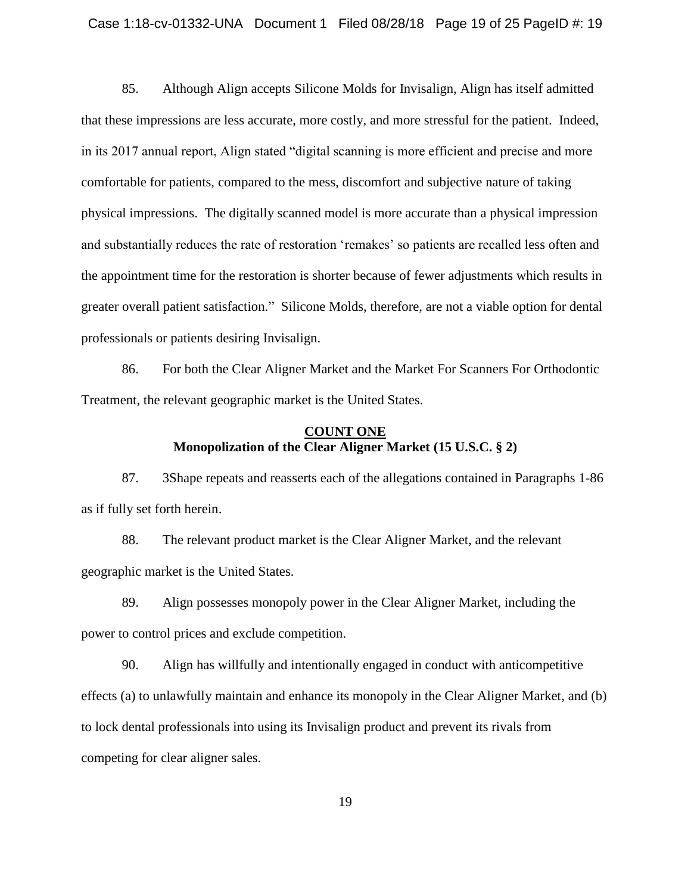85. Although Align accepts Silicone Molds for Invisalign, Align has itself admitted that these impressions are less accurate, more costly, and more stressful for the patient. Indeed, in its 2017 annual report, Align stated "digital scanning is more efficient and precise and more comfortable for patients, compared to the mess, discomfort and subjective nature of taking physical impressions. The digitally scanned model is more accurate than a physical impression and substantially reduces the rate of restoration 'remakes' so patients are recalled less often and the appointment time for the restoration is shorter because of fewer adjustments which results in greater overall patient satisfaction." Silicone Molds, therefore, are not a viable option for dental professionals or patients desiring Invisalign.

86. For both the Clear Aligner Market and the Market For Scanners For Orthodontic Treatment, the relevant geographic market is the United States.

## **COUNT ONE Monopolization of the Clear Aligner Market (15 U.S.C. § 2)**

87. 3Shape repeats and reasserts each of the allegations contained in Paragraphs 1-86 as if fully set forth herein.

88. The relevant product market is the Clear Aligner Market, and the relevant geographic market is the United States.

89. Align possesses monopoly power in the Clear Aligner Market, including the power to control prices and exclude competition.

90. Align has willfully and intentionally engaged in conduct with anticompetitive effects (a) to unlawfully maintain and enhance its monopoly in the Clear Aligner Market, and (b) to lock dental professionals into using its Invisalign product and prevent its rivals from competing for clear aligner sales.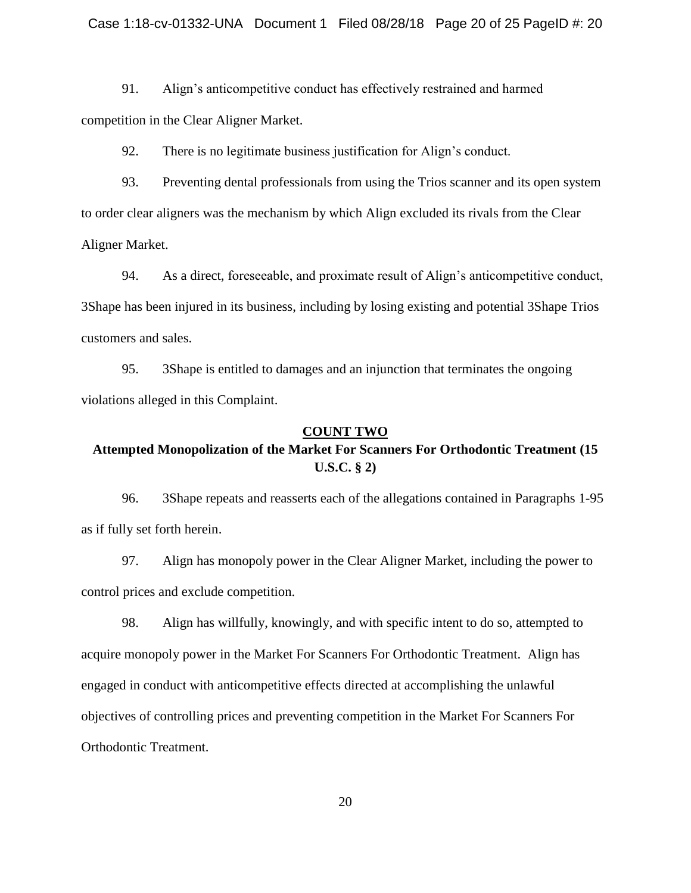91. Align's anticompetitive conduct has effectively restrained and harmed competition in the Clear Aligner Market.

92. There is no legitimate business justification for Align's conduct.

93. Preventing dental professionals from using the Trios scanner and its open system to order clear aligners was the mechanism by which Align excluded its rivals from the Clear Aligner Market.

94. As a direct, foreseeable, and proximate result of Align's anticompetitive conduct, 3Shape has been injured in its business, including by losing existing and potential 3Shape Trios customers and sales.

95. 3Shape is entitled to damages and an injunction that terminates the ongoing violations alleged in this Complaint.

## **COUNT TWO**

# **Attempted Monopolization of the Market For Scanners For Orthodontic Treatment (15 U.S.C. § 2)**

96. 3Shape repeats and reasserts each of the allegations contained in Paragraphs 1-95 as if fully set forth herein.

97. Align has monopoly power in the Clear Aligner Market, including the power to control prices and exclude competition.

98. Align has willfully, knowingly, and with specific intent to do so, attempted to acquire monopoly power in the Market For Scanners For Orthodontic Treatment. Align has engaged in conduct with anticompetitive effects directed at accomplishing the unlawful objectives of controlling prices and preventing competition in the Market For Scanners For Orthodontic Treatment.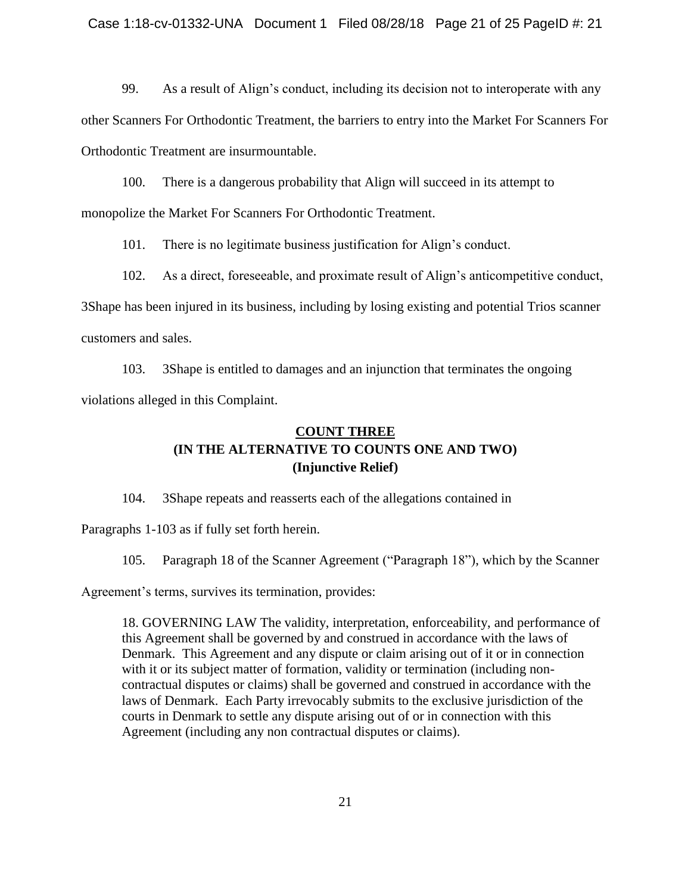99. As a result of Align's conduct, including its decision not to interoperate with any

other Scanners For Orthodontic Treatment, the barriers to entry into the Market For Scanners For Orthodontic Treatment are insurmountable.

100. There is a dangerous probability that Align will succeed in its attempt to

monopolize the Market For Scanners For Orthodontic Treatment.

101. There is no legitimate business justification for Align's conduct.

102. As a direct, foreseeable, and proximate result of Align's anticompetitive conduct,

3Shape has been injured in its business, including by losing existing and potential Trios scanner customers and sales.

103. 3Shape is entitled to damages and an injunction that terminates the ongoing violations alleged in this Complaint.

# **COUNT THREE (IN THE ALTERNATIVE TO COUNTS ONE AND TWO) (Injunctive Relief)**

104. 3Shape repeats and reasserts each of the allegations contained in

Paragraphs 1-103 as if fully set forth herein.

105. Paragraph 18 of the Scanner Agreement ("Paragraph 18"), which by the Scanner

Agreement's terms, survives its termination, provides:

18. GOVERNING LAW The validity, interpretation, enforceability, and performance of this Agreement shall be governed by and construed in accordance with the laws of Denmark. This Agreement and any dispute or claim arising out of it or in connection with it or its subject matter of formation, validity or termination (including noncontractual disputes or claims) shall be governed and construed in accordance with the laws of Denmark. Each Party irrevocably submits to the exclusive jurisdiction of the courts in Denmark to settle any dispute arising out of or in connection with this Agreement (including any non contractual disputes or claims).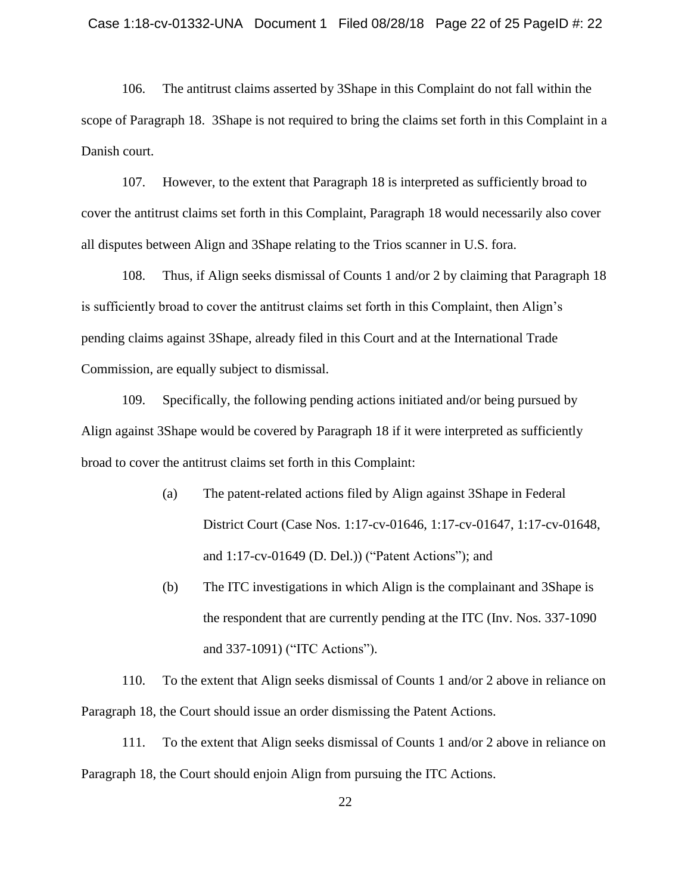106. The antitrust claims asserted by 3Shape in this Complaint do not fall within the scope of Paragraph 18. 3Shape is not required to bring the claims set forth in this Complaint in a Danish court.

107. However, to the extent that Paragraph 18 is interpreted as sufficiently broad to cover the antitrust claims set forth in this Complaint, Paragraph 18 would necessarily also cover all disputes between Align and 3Shape relating to the Trios scanner in U.S. fora.

108. Thus, if Align seeks dismissal of Counts 1 and/or 2 by claiming that Paragraph 18 is sufficiently broad to cover the antitrust claims set forth in this Complaint, then Align's pending claims against 3Shape, already filed in this Court and at the International Trade Commission, are equally subject to dismissal.

109. Specifically, the following pending actions initiated and/or being pursued by Align against 3Shape would be covered by Paragraph 18 if it were interpreted as sufficiently broad to cover the antitrust claims set forth in this Complaint:

- (a) The patent-related actions filed by Align against 3Shape in Federal District Court (Case Nos. 1:17-cv-01646, 1:17-cv-01647, 1:17-cv-01648, and 1:17-cv-01649 (D. Del.)) ("Patent Actions"); and
- (b) The ITC investigations in which Align is the complainant and 3Shape is the respondent that are currently pending at the ITC (Inv. Nos. 337-1090 and 337-1091) ("ITC Actions").

110. To the extent that Align seeks dismissal of Counts 1 and/or 2 above in reliance on Paragraph 18, the Court should issue an order dismissing the Patent Actions.

111. To the extent that Align seeks dismissal of Counts 1 and/or 2 above in reliance on Paragraph 18, the Court should enjoin Align from pursuing the ITC Actions.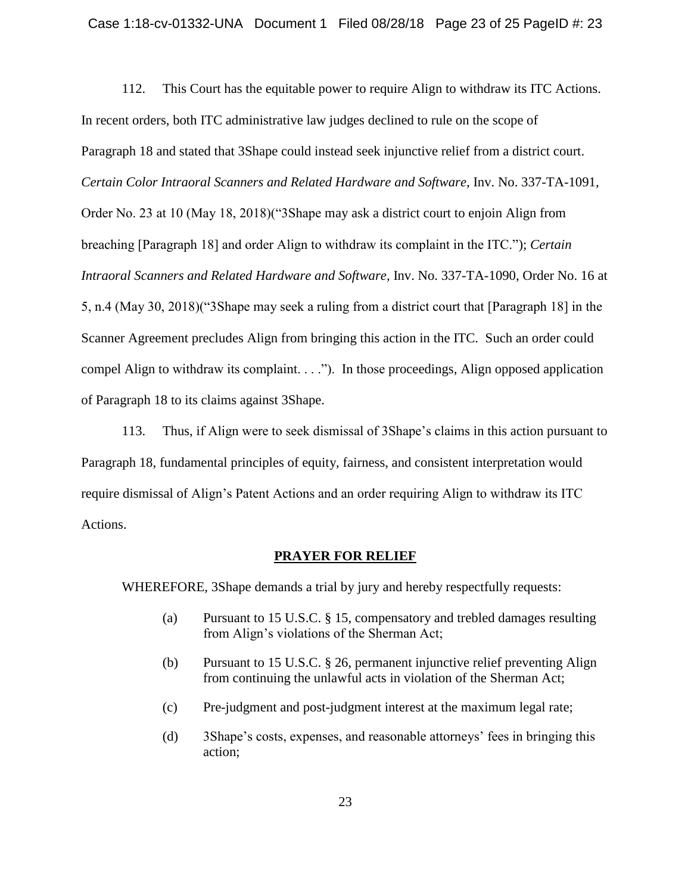112. This Court has the equitable power to require Align to withdraw its ITC Actions. In recent orders, both ITC administrative law judges declined to rule on the scope of Paragraph 18 and stated that 3Shape could instead seek injunctive relief from a district court. *Certain Color Intraoral Scanners and Related Hardware and Software*, Inv. No. 337-TA-1091, Order No. 23 at 10 (May 18, 2018)("3Shape may ask a district court to enjoin Align from breaching [Paragraph 18] and order Align to withdraw its complaint in the ITC."); *Certain Intraoral Scanners and Related Hardware and Software,* Inv. No. 337-TA-1090, Order No. 16 at 5, n.4 (May 30, 2018)("3Shape may seek a ruling from a district court that [Paragraph 18] in the Scanner Agreement precludes Align from bringing this action in the ITC. Such an order could compel Align to withdraw its complaint. . . ."). In those proceedings, Align opposed application of Paragraph 18 to its claims against 3Shape.

113. Thus, if Align were to seek dismissal of 3Shape's claims in this action pursuant to Paragraph 18, fundamental principles of equity, fairness, and consistent interpretation would require dismissal of Align's Patent Actions and an order requiring Align to withdraw its ITC Actions.

## **PRAYER FOR RELIEF**

WHEREFORE, 3Shape demands a trial by jury and hereby respectfully requests:

- (a) Pursuant to 15 U.S.C. § 15, compensatory and trebled damages resulting from Align's violations of the Sherman Act;
- (b) Pursuant to 15 U.S.C. § 26, permanent injunctive relief preventing Align from continuing the unlawful acts in violation of the Sherman Act;
- (c) Pre-judgment and post-judgment interest at the maximum legal rate;
- (d) 3Shape's costs, expenses, and reasonable attorneys' fees in bringing this action;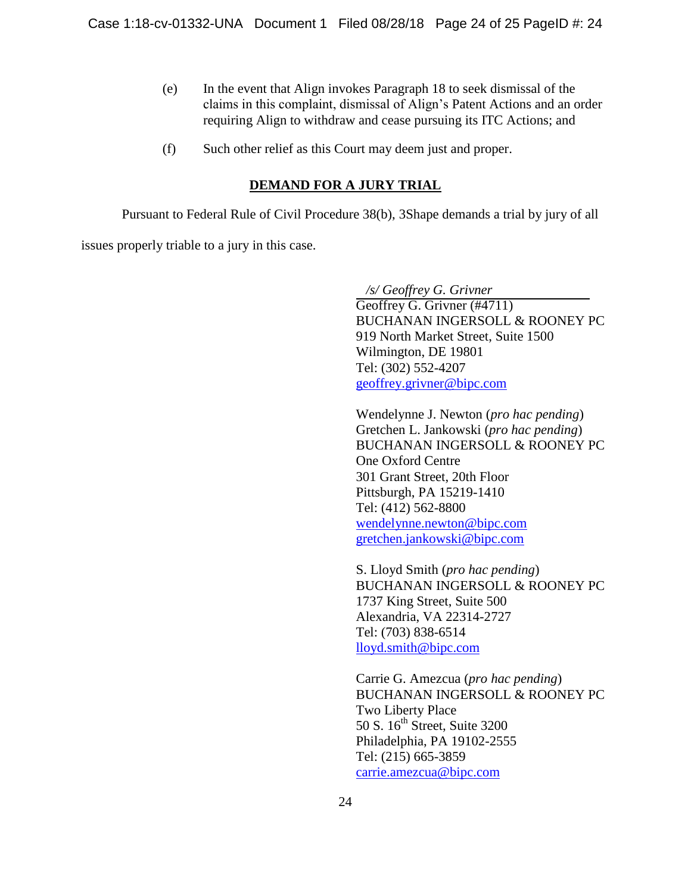- (e) In the event that Align invokes Paragraph 18 to seek dismissal of the claims in this complaint, dismissal of Align's Patent Actions and an order requiring Align to withdraw and cease pursuing its ITC Actions; and
- (f) Such other relief as this Court may deem just and proper.

# **DEMAND FOR A JURY TRIAL**

Pursuant to Federal Rule of Civil Procedure 38(b), 3Shape demands a trial by jury of all

issues properly triable to a jury in this case.

 */s/ Geoffrey G. Grivner* Geoffrey G. Grivner (#4711) BUCHANAN INGERSOLL & ROONEY PC 919 North Market Street, Suite 1500 Wilmington, DE 19801 Tel: (302) 552-4207 [geoffrey.grivner@bipc.com](mailto:geoffrey.grivner@bipc.com)

Wendelynne J. Newton (*pro hac pending*) Gretchen L. Jankowski (*pro hac pending*) BUCHANAN INGERSOLL & ROONEY PC One Oxford Centre 301 Grant Street, 20th Floor Pittsburgh, PA 15219-1410 Tel: (412) 562-8800 [wendelynne.newton@bipc.com](mailto:wendelynne.newton@bipc.com) [gretchen.jankowski@bipc.com](mailto:gretchen.jankowski@bipc.com)

S. Lloyd Smith (*pro hac pending*) BUCHANAN INGERSOLL & ROONEY PC 1737 King Street, Suite 500 Alexandria, VA 22314-2727 Tel: (703) 838-6514 [lloyd.smith@bipc.com](mailto:lloyd.smith@bipc.com)

Carrie G. Amezcua (*pro hac pending*) BUCHANAN INGERSOLL & ROONEY PC Two Liberty Place 50 S. 16<sup>th</sup> Street, Suite 3200 Philadelphia, PA 19102-2555 Tel: (215) 665-3859 [carrie.amezcua@bipc.com](mailto:carrie.amezcua@bipc.com)